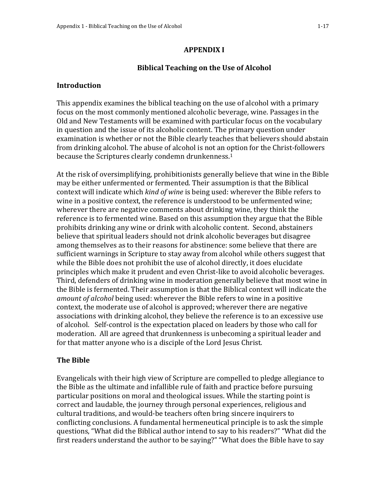## **Biblical Teaching on the Use of Alcohol**

#### **Introduction**

This appendix examines the biblical teaching on the use of alcohol with a primary focus on the most commonly mentioned alcoholic beverage, wine. Passages in the Old and New Testaments will be examined with particular focus on the vocabulary in question and the issue of its alcoholic content. The primary question under examination is whether or not the Bible clearly teaches that believers should abstain from drinking alcohol. The abuse of alcohol is not an option for the Christ-followers because the Scriptures clearly condemn drunkenness.<sup>1</sup>

At the risk of oversimplifying, prohibitionists generally believe that wine in the Bible may be either unfermented or fermented. Their assumption is that the Biblical context will indicate which *kind of wine* is being used: wherever the Bible refers to wine in a positive context, the reference is understood to be unfermented wine; wherever there are negative comments about drinking wine, they think the reference is to fermented wine. Based on this assumption they argue that the Bible prohibits drinking any wine or drink with alcoholic content. Second, abstainers believe that spiritual leaders should not drink alcoholic beverages but disagree among themselves as to their reasons for abstinence: some believe that there are sufficient warnings in Scripture to stay away from alcohol while others suggest that while the Bible does not prohibit the use of alcohol directly, it does elucidate principles which make it prudent and even Christ-like to avoid alcoholic beverages. Third, defenders of drinking wine in moderation generally believe that most wine in the Bible is fermented. Their assumption is that the Biblical context will indicate the *amount of alcohol* being used: wherever the Bible refers to wine in a positive context, the moderate use of alcohol is approved; wherever there are negative associations with drinking alcohol, they believe the reference is to an excessive use of alcohol. Self-control is the expectation placed on leaders by those who call for moderation. All are agreed that drunkenness is unbecoming a spiritual leader and for that matter anyone who is a disciple of the Lord Jesus Christ.

### **The Bible**

Evangelicals with their high view of Scripture are compelled to pledge allegiance to the Bible as the ultimate and infallible rule of faith and practice before pursuing particular positions on moral and theological issues. While the starting point is correct and laudable, the journey through personal experiences, religious and cultural traditions, and would-be teachers often bring sincere inquirers to conflicting conclusions. A fundamental hermeneutical principle is to ask the simple questions, "What did the Biblical author intend to say to his readers?" "What did the first readers understand the author to be saying?" "What does the Bible have to say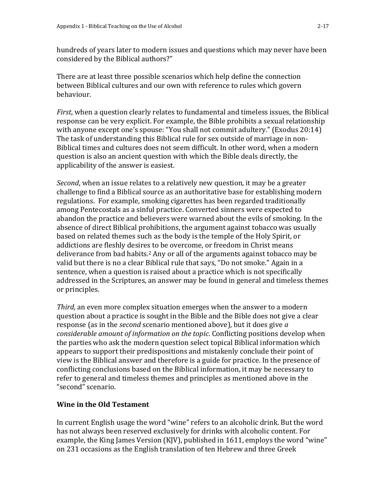hundreds of years later to modern issues and questions which may never have been considered by the Biblical authors?"

There are at least three possible scenarios which help define the connection between Biblical cultures and our own with reference to rules which govern behaviour.

*First*, when a question clearly relates to fundamental and timeless issues, the Biblical response can be very explicit. For example, the Bible prohibits a sexual relationship with anyone except one's spouse: "You shall not commit adultery." (Exodus 20:14) The task of understanding this Biblical rule for sex outside of marriage in non-Biblical times and cultures does not seem difficult. In other word, when a modern question is also an ancient question with which the Bible deals directly, the applicability of the answer is easiest.

*Second*, when an issue relates to a relatively new question, it may be a greater challenge to find a Biblical source as an authoritative base for establishing modern regulations. For example, smoking cigarettes has been regarded traditionally among Pentecostals as a sinful practice. Converted sinners were expected to abandon the practice and believers were warned about the evils of smoking. In the absence of direct Biblical prohibitions, the argument against tobacco was usually based on related themes such as the body is the temple of the Holy Spirit, or addictions are fleshly desires to be overcome, or freedom in Christ means deliverance from bad habits.<sup>2</sup> Any or all of the arguments against tobacco may be valid but there is no a clear Biblical rule that says, "Do not smoke." Again in a sentence, when a question is raised about a practice which is not specifically addressed in the Scriptures, an answer may be found in general and timeless themes or principles.

*Third*, an even more complex situation emerges when the answer to a modern question about a practice is sought in the Bible and the Bible does not give a clear response (as in the *second* scenario mentioned above), but it does give *a considerable amount of information on the topic*. Conflicting positions develop when the parties who ask the modern question select topical Biblical information which appears to support their predispositions and mistakenly conclude their point of view is the Biblical answer and therefore is a guide for practice. In the presence of conflicting conclusions based on the Biblical information, it may be necessary to refer to general and timeless themes and principles as mentioned above in the "second" scenario.

### **Wine in the Old Testament**

In current English usage the word "wine" refers to an alcoholic drink. But the word has not always been reserved exclusively for drinks with alcoholic content. For example, the King James Version (KJV), published in 1611, employs the word "wine" on 231 occasions as the English translation of ten Hebrew and three Greek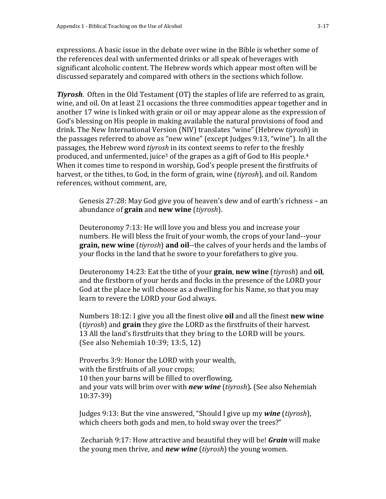expressions. A basic issue in the debate over wine in the Bible is whether some of the references deal with unfermented drinks or all speak of beverages with significant alcoholic content. The Hebrew words which appear most often will be discussed separately and compared with others in the sections which follow.

*Tiyrosh*. Often in the Old Testament (OT) the staples of life are referred to as grain, wine, and oil. On at least 21 occasions the three commodities appear together and in another 17 wine is linked with grain or oil or may appear alone as the expression of God's blessing on His people in making available the natural provisions of food and drink. The New International Version (NIV) translates "wine" (Hebrew *tiyrosh*) in the passages referred to above as "new wine" (except Judges 9:13, "wine"). In all the passages, the Hebrew word *tiyrosh* in its context seems to refer to the freshly produced, and unfermented, juice<sup>3</sup> of the grapes as a gift of God to His people.<sup>4</sup> When it comes time to respond in worship, God's people present the firstfruits of harvest, or the tithes, to God, in the form of grain, wine (*tiyrosh*), and oil. Random references, without comment, are,

Genesis 27:28: May God give you of heaven's dew and of earth's richness – an abundance of **grain** and **new wine** (*tiyrosh*).

Deuteronomy 7:13: He will love you and bless you and increase your numbers. He will bless the fruit of your womb, the crops of your land--your **grain, new wine** (*tiyrosh*) **and oil**--the calves of your herds and the lambs of your flocks in the land that he swore to your forefathers to give you.

Deuteronomy 14:23: Eat the tithe of your **grain**, **new wine** (*tiyrosh*) and **oil**, and the firstborn of your herds and flocks in the presence of the LORD your God at the place he will choose as a dwelling for his Name, so that you may learn to revere the LORD your God always.

Numbers 18:12: I give you all the finest olive **oil** and all the finest **new wine**  (*tiyrosh*) and **grain** they give the LORD as the firstfruits of their harvest. 13 All the land's firstfruits that they bring to the LORD will be yours. (See also Nehemiah 10:39; 13:5, 12)

Proverbs 3:9: Honor the LORD with your wealth, with the firstfruits of all your crops; 10 then your barns will be filled to overflowing, and your vats will brim over with *new wine* (*tiyrosh*)*.* (See also Nehemiah 10:37-39)

Judges 9:13: But the vine answered, "Should I give up my *wine* (*tiyrosh*), which cheers both gods and men, to hold sway over the trees?"

Zechariah 9:17: How attractive and beautiful they will be! *Grain* will make the young men thrive, and *new wine* (*tiyrosh*) the young women.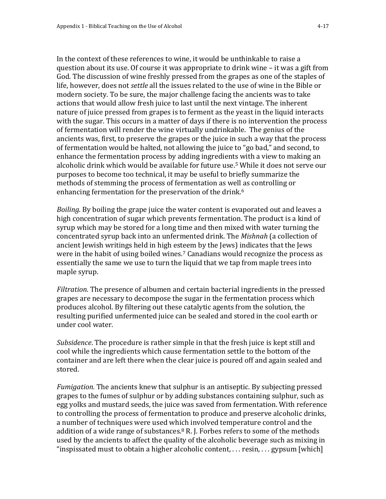In the context of these references to wine, it would be unthinkable to raise a question about its use. Of course it was appropriate to drink wine – it was a gift from God. The discussion of wine freshly pressed from the grapes as one of the staples of life, however, does not *settle* all the issues related to the use of wine in the Bible or modern society. To be sure, the major challenge facing the ancients was to take actions that would allow fresh juice to last until the next vintage. The inherent nature of juice pressed from grapes is to ferment as the yeast in the liquid interacts with the sugar. This occurs in a matter of days if there is no intervention the process of fermentation will render the wine virtually undrinkable. The genius of the ancients was, first, to preserve the grapes or the juice in such a way that the process of fermentation would be halted, not allowing the juice to "go bad," and second, to enhance the fermentation process by adding ingredients with a view to making an alcoholic drink which would be available for future use.<sup>5</sup> While it does not serve our purposes to become too technical, it may be useful to briefly summarize the methods of stemming the process of fermentation as well as controlling or enhancing fermentation for the preservation of the drink.<sup>6</sup>

*Boiling*. By boiling the grape juice the water content is evaporated out and leaves a high concentration of sugar which prevents fermentation. The product is a kind of syrup which may be stored for a long time and then mixed with water turning the concentrated syrup back into an unfermented drink. The *Mishnah* (a collection of ancient Jewish writings held in high esteem by the Jews) indicates that the Jews were in the habit of using boiled wines.<sup>7</sup> Canadians would recognize the process as essentially the same we use to turn the liquid that we tap from maple trees into maple syrup.

*Filtration.* The presence of albumen and certain bacterial ingredients in the pressed grapes are necessary to decompose the sugar in the fermentation process which produces alcohol. By filtering out these catalytic agents from the solution, the resulting purified unfermented juice can be sealed and stored in the cool earth or under cool water.

*Subsidence*. The procedure is rather simple in that the fresh juice is kept still and cool while the ingredients which cause fermentation settle to the bottom of the container and are left there when the clear juice is poured off and again sealed and stored.

*Fumigation.* The ancients knew that sulphur is an antiseptic. By subjecting pressed grapes to the fumes of sulphur or by adding substances containing sulphur, such as egg yolks and mustard seeds, the juice was saved from fermentation. With reference to controlling the process of fermentation to produce and preserve alcoholic drinks, a number of techniques were used which involved temperature control and the addition of a wide range of substances. $8 \text{ R}$ . J. Forbes refers to some of the methods used by the ancients to affect the quality of the alcoholic beverage such as mixing in "inspissated must to obtain a higher alcoholic content, . . . resin, . . . gypsum [which]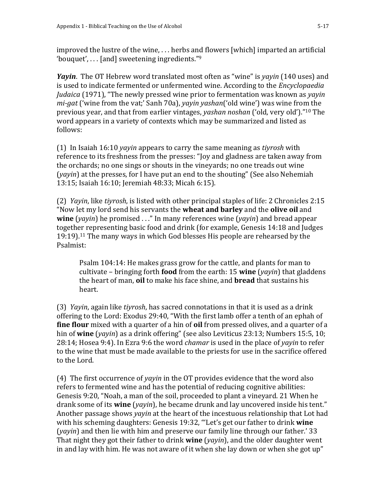improved the lustre of the wine, . . . herbs and flowers [which] imparted an artificial 'bouquet', . . . [and] sweetening ingredients." 9

*Yayin*. The OT Hebrew word translated most often as "wine" is *yayin* (140 uses) and is used to indicate fermented or unfermented wine. According to the *Encyclopaedia Judaica* (1971), "The newly pressed wine prior to fermentation was known as *yayin mi-gat* ('wine from the vat;' Sanh 70a), *yayin yashan*('old wine') was wine from the previous year, and that from earlier vintages, *yashan noshan* ('old, very old')." <sup>10</sup> The word appears in a variety of contexts which may be summarized and listed as follows:

(1) In Isaiah 16:10 *yayin* appears to carry the same meaning as *tiyrosh* with reference to its freshness from the presses: "Joy and gladness are taken away from the orchards; no one sings or shouts in the vineyards; no one treads out wine (*yayin*) at the presses, for I have put an end to the shouting" (See also Nehemiah 13:15; Isaiah 16:10; Jeremiah 48:33; Micah 6:15).

(2) *Yayin*, like *tiyrosh*, is listed with other principal staples of life: 2 Chronicles 2:15 "Now let my lord send his servants the **wheat and barley** and the **olive oil** and **wine** (*yayin*) he promised . . ." In many references wine (*yayin*) and bread appear together representing basic food and drink (for example, Genesis 14:18 and Judges 19:19).<sup>11</sup> The many ways in which God blesses His people are rehearsed by the Psalmist:

Psalm 104:14: He makes grass grow for the cattle, and plants for man to cultivate – bringing forth **food** from the earth: 15 **wine** (*yayin*) that gladdens the heart of man, **oil** to make his face shine, and **bread** that sustains his heart.

(3) *Yayin*, again like *tiyrosh*, has sacred connotations in that it is used as a drink offering to the Lord: Exodus 29:40, "With the first lamb offer a tenth of an ephah of **fine flour** mixed with a quarter of a hin of **oil** from pressed olives, and a quarter of a hin of **wine** (*yayin*) as a drink offering" (see also Leviticus 23:13; Numbers 15:5, 10; 28:14; Hosea 9:4). In Ezra 9:6 the word *chamar* is used in the place of *yayin* to refer to the wine that must be made available to the priests for use in the sacrifice offered to the Lord.

(4) The first occurrence of *yayin* in the OT provides evidence that the word also refers to fermented wine and has the potential of reducing cognitive abilities: Genesis 9:20, "Noah, a man of the soil, proceeded to plant a vineyard. 21 When he drank some of its **wine** (*yayin*), he became drunk and lay uncovered inside his tent." Another passage shows *yayin* at the heart of the incestuous relationship that Lot had with his scheming daughters: Genesis 19:32, "'Let's get our father to drink **wine** (*yayin*) and then lie with him and preserve our family line through our father.' 33 That night they got their father to drink **wine** (*yayin*), and the older daughter went in and lay with him. He was not aware of it when she lay down or when she got up"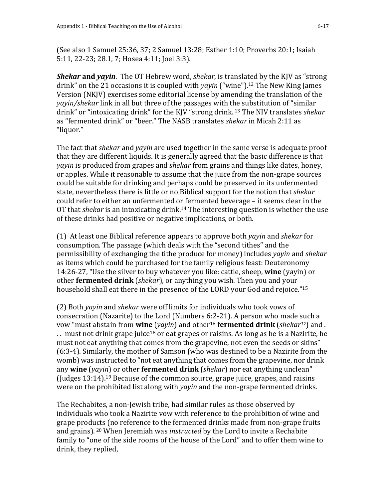(See also 1 Samuel 25:36, 37; 2 Samuel 13:28; Esther 1:10; Proverbs 20:1; Isaiah 5:11, 22-23; 28.1, 7; Hosea 4:11; Joel 3:3).

*Shekar* **and** *yayin*. The OT Hebrew word, *shekar*, is translated by the KJV as "strong drink" on the 21 occasions it is coupled with *yayin* ("wine").<sup>12</sup> The New King James Version (NKJV) exercises some editorial license by amending the translation of the *yayin/shekar* link in all but three of the passages with the substitution of "similar drink" or "intoxicating drink" for the KJV "strong drink. <sup>13</sup> The NIV translates *shekar* as "fermented drink" or "beer." The NASB translates *shekar* in Micah 2:11 as "liquor."

The fact that *shekar* and *yayin* are used together in the same verse is adequate proof that they are different liquids. It is generally agreed that the basic difference is that *yayin* is produced from grapes and *shekar* from grains and things like dates, honey, or apples. While it reasonable to assume that the juice from the non-grape sources could be suitable for drinking and perhaps could be preserved in its unfermented state, nevertheless there is little or no Biblical support for the notion that *shekar* could refer to either an unfermented or fermented beverage – it seems clear in the OT that *shekar* is an intoxicating drink.<sup>14</sup> The interesting question is whether the use of these drinks had positive or negative implications, or both.

(1) At least one Biblical reference appears to approve both *yayin* and *shekar* for consumption. The passage (which deals with the "second tithes" and the permissibility of exchanging the tithe produce for money) includes *yayin* and *shekar* as items which could be purchased for the family religious feast: Deuteronomy 14:26-27, "Use the silver to buy whatever you like: cattle, sheep, **wine** (yayin) or other **fermented drink** (*shekar*), or anything you wish. Then you and your household shall eat there in the presence of the LORD your God and rejoice." 15

(2) Both *yayin* and *shekar* were off limits for individuals who took vows of consecration (Nazarite) to the Lord (Numbers 6:2-21). A person who made such a vow "must abstain from **wine** (*yayin*) and other<sup>16</sup> **fermented drink** (*shekar17*) and . .. must not drink grape juice<sup>18</sup> or eat grapes or raisins. As long as he is a Nazirite, he must not eat anything that comes from the grapevine, not even the seeds or skins" (6:3-4). Similarly, the mother of Samson (who was destined to be a Nazirite from the womb) was instructed to "not eat anything that comes from the grapevine, nor drink any **wine** (*yayin*) or other **fermented drink** (*shekar*) nor eat anything unclean" (Judges 13:14).<sup>19</sup> Because of the common source, grape juice, grapes, and raisins were on the prohibited list along with *yayin* and the non-grape fermented drinks.

The Rechabites, a non-Jewish tribe, had similar rules as those observed by individuals who took a Nazirite vow with reference to the prohibition of wine and grape products (no reference to the fermented drinks made from non-grape fruits and grains). <sup>20</sup> When Jeremiah was *instructed* by the Lord to invite a Rechabite family to "one of the side rooms of the house of the Lord" and to offer them wine to drink, they replied,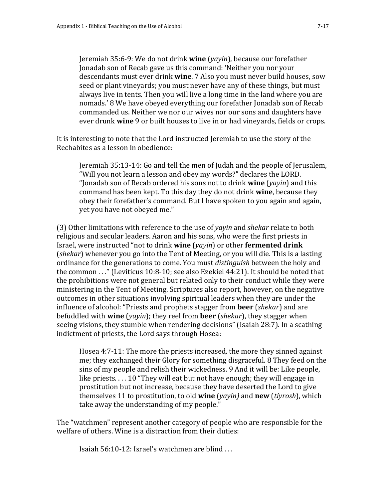Jeremiah 35:6-9: We do not drink **wine** (*yayin*), because our forefather Jonadab son of Recab gave us this command: 'Neither you nor your descendants must ever drink **wine**. 7 Also you must never build houses, sow seed or plant vineyards; you must never have any of these things, but must always live in tents. Then you will live a long time in the land where you are nomads.' 8 We have obeyed everything our forefather Jonadab son of Recab commanded us. Neither we nor our wives nor our sons and daughters have ever drunk **wine** 9 or built houses to live in or had vineyards, fields or crops.

It is interesting to note that the Lord instructed Jeremiah to use the story of the Rechabites as a lesson in obedience:

Jeremiah 35:13-14: Go and tell the men of Judah and the people of Jerusalem, "Will you not learn a lesson and obey my words?" declares the LORD. "Jonadab son of Recab ordered his sons not to drink **wine** (*yayin*) and this command has been kept. To this day they do not drink **wine**, because they obey their forefather's command. But I have spoken to you again and again, yet you have not obeyed me."

(3) Other limitations with reference to the use of *yayin* and *shekar* relate to both religious and secular leaders. Aaron and his sons, who were the first priests in Israel, were instructed "not to drink **wine** (*yayin*) or other **fermented drink**  (*shekar*) whenever you go into the Tent of Meeting, or you will die. This is a lasting ordinance for the generations to come. You must *distinguish* between the holy and the common . . ." (Leviticus 10:8-10; see also Ezekiel 44:21). It should be noted that the prohibitions were not general but related only to their conduct while they were ministering in the Tent of Meeting. Scriptures also report, however, on the negative outcomes in other situations involving spiritual leaders when they are under the influence of alcohol: "Priests and prophets stagger from **beer** (*shekar*) and are befuddled with **wine** (*yayin*); they reel from **beer** (*shekar*), they stagger when seeing visions, they stumble when rendering decisions" (Isaiah 28:7). In a scathing indictment of priests, the Lord says through Hosea:

Hosea 4:7-11: The more the priests increased, the more they sinned against me; they exchanged their Glory for something disgraceful. 8 They feed on the sins of my people and relish their wickedness. 9 And it will be: Like people, like priests. . . . 10 "They will eat but not have enough; they will engage in prostitution but not increase, because they have deserted the Lord to give themselves 11 to prostitution, to old **wine** (*yayin)* and **new** (*tiyrosh*), which take away the understanding of my people."

The "watchmen" represent another category of people who are responsible for the welfare of others. Wine is a distraction from their duties:

Isaiah 56:10-12: Israel's watchmen are blind . . .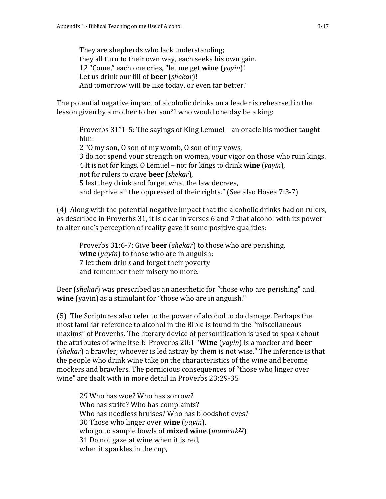They are shepherds who lack understanding; they all turn to their own way, each seeks his own gain. 12 "Come," each one cries, "let me get **wine** (*yayin*)! Let us drink our fill of **beer** (*shekar*)! And tomorrow will be like today, or even far better."

The potential negative impact of alcoholic drinks on a leader is rehearsed in the lesson given by a mother to her son<sup>21</sup> who would one day be a king:

Proverbs 31"1-5: The sayings of King Lemuel – an oracle his mother taught him: 2 "O my son, O son of my womb, O son of my vows, 3 do not spend your strength on women, your vigor on those who ruin kings. 4 It is not for kings, O Lemuel – not for kings to drink **wine** (*yayin*), not for rulers to crave **beer** (*shekar*), 5 lest they drink and forget what the law decrees, and deprive all the oppressed of their rights." (See also Hosea 7:3-7)

(4) Along with the potential negative impact that the alcoholic drinks had on rulers, as described in Proverbs 31, it is clear in verses 6 and 7 that alcohol with its power to alter one's perception of reality gave it some positive qualities:

Proverbs 31:6-7: Give **beer** (*shekar*) to those who are perishing, **wine** (*yayin*) to those who are in anguish; 7 let them drink and forget their poverty and remember their misery no more.

Beer (*shekar*) was prescribed as an anesthetic for "those who are perishing" and **wine** (yayin) as a stimulant for "those who are in anguish."

(5) The Scriptures also refer to the power of alcohol to do damage. Perhaps the most familiar reference to alcohol in the Bible is found in the "miscellaneous maxims" of Proverbs. The literary device of personification is used to speak about the attributes of wine itself: Proverbs 20:1 "**Wine** (*yayin*) is a mocker and **beer** (*shekar*) a brawler; whoever is led astray by them is not wise." The inference is that the people who drink wine take on the characteristics of the wine and become mockers and brawlers. The pernicious consequences of "those who linger over wine" are dealt with in more detail in Proverbs 23:29-35

29 Who has woe? Who has sorrow? Who has strife? Who has complaints? Who has needless bruises? Who has bloodshot eyes? 30 Those who linger over **wine** (*yayin*), who go to sample bowls of **mixed wine** (*mamcak22*) 31 Do not gaze at wine when it is red, when it sparkles in the cup,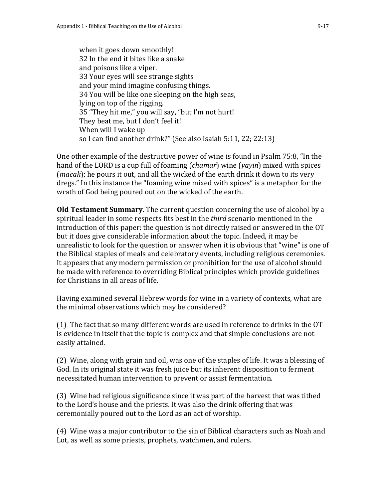when it goes down smoothly! 32 In the end it bites like a snake and poisons like a viper. 33 Your eyes will see strange sights and your mind imagine confusing things. 34 You will be like one sleeping on the high seas, lying on top of the rigging. 35 "They hit me," you will say, "but I'm not hurt! They beat me, but I don't feel it! When will I wake up so I can find another drink?" (See also Isaiah 5:11, 22; 22:13)

One other example of the destructive power of wine is found in Psalm 75:8, "In the hand of the LORD is a cup full of foaming (*chamar*) wine (*yayin*) mixed with spices (*macak*); he pours it out, and all the wicked of the earth drink it down to its very dregs." In this instance the "foaming wine mixed with spices" is a metaphor for the wrath of God being poured out on the wicked of the earth.

**Old Testament Summary**. The current question concerning the use of alcohol by a spiritual leader in some respects fits best in the *third* scenario mentioned in the introduction of this paper: the question is not directly raised or answered in the OT but it does give considerable information about the topic. Indeed, it may be unrealistic to look for the question or answer when it is obvious that "wine" is one of the Biblical staples of meals and celebratory events, including religious ceremonies. It appears that any modern permission or prohibition for the use of alcohol should be made with reference to overriding Biblical principles which provide guidelines for Christians in all areas of life.

Having examined several Hebrew words for wine in a variety of contexts, what are the minimal observations which may be considered?

(1) The fact that so many different words are used in reference to drinks in the OT is evidence in itself that the topic is complex and that simple conclusions are not easily attained.

(2) Wine, along with grain and oil, was one of the staples of life. It was a blessing of God. In its original state it was fresh juice but its inherent disposition to ferment necessitated human intervention to prevent or assist fermentation.

(3) Wine had religious significance since it was part of the harvest that was tithed to the Lord's house and the priests. It was also the drink offering that was ceremonially poured out to the Lord as an act of worship.

(4) Wine was a major contributor to the sin of Biblical characters such as Noah and Lot, as well as some priests, prophets, watchmen, and rulers.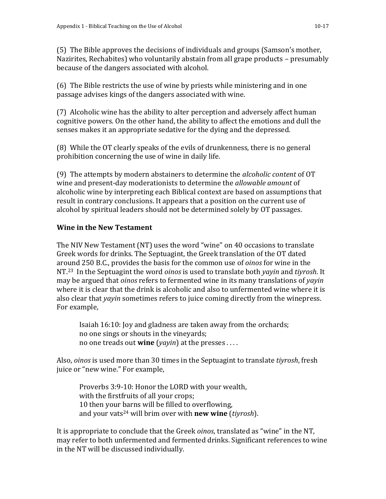(5) The Bible approves the decisions of individuals and groups (Samson's mother, Nazirites, Rechabites) who voluntarily abstain from all grape products – presumably because of the dangers associated with alcohol.

(6) The Bible restricts the use of wine by priests while ministering and in one passage advises kings of the dangers associated with wine.

(7) Alcoholic wine has the ability to alter perception and adversely affect human cognitive powers. On the other hand, the ability to affect the emotions and dull the senses makes it an appropriate sedative for the dying and the depressed.

(8) While the OT clearly speaks of the evils of drunkenness, there is no general prohibition concerning the use of wine in daily life.

(9) The attempts by modern abstainers to determine the *alcoholic content* of OT wine and present-day moderationists to determine the *allowable amount* of alcoholic wine by interpreting each Biblical context are based on assumptions that result in contrary conclusions. It appears that a position on the current use of alcohol by spiritual leaders should not be determined solely by OT passages.

# **Wine in the New Testament**

The NIV New Testament (NT) uses the word "wine" on 40 occasions to translate Greek words for drinks. The Septuagint, the Greek translation of the OT dated around 250 B.C., provides the basis for the common use of *oinos* for wine in the NT.23 In the Septuagint the word *oinos* is used to translate both *yayin* and *tiyrosh*. It may be argued that *oinos* refers to fermented wine in its many translations of *yayin* where it is clear that the drink is alcoholic and also to unfermented wine where it is also clear that *yayin* sometimes refers to juice coming directly from the winepress. For example,

Isaiah 16:10: Joy and gladness are taken away from the orchards; no one sings or shouts in the vineyards; no one treads out **wine** (*yayin*) at the presses . . . .

Also, *oinos* is used more than 30 times in the Septuagint to translate *tiyrosh*, fresh juice or "new wine." For example,

Proverbs 3:9-10: Honor the LORD with your wealth, with the firstfruits of all your crops; 10 then your barns will be filled to overflowing, and your vats<sup>24</sup> will brim over with **new wine** (*tiyrosh*).

It is appropriate to conclude that the Greek *oinos*, translated as "wine" in the NT, may refer to both unfermented and fermented drinks. Significant references to wine in the NT will be discussed individually.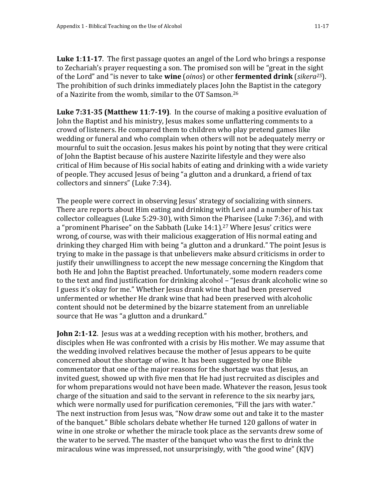**Luke 1**:**11-17**. The first passage quotes an angel of the Lord who brings a response to Zechariah's prayer requesting a son. The promised son will be "great in the sight of the Lord" and "is never to take **wine** (*oinos*) or other **fermented drink** (*sikera25*). The prohibition of such drinks immediately places John the Baptist in the category of a Nazirite from the womb, similar to the OT Samson.<sup>26</sup>

**Luke 7:31-35 (Matthew 11**:**7-19)**. In the course of making a positive evaluation of John the Baptist and his ministry, Jesus makes some unflattering comments to a crowd of listeners. He compared them to children who play pretend games like wedding or funeral and who complain when others will not be adequately merry or mournful to suit the occasion. Jesus makes his point by noting that they were critical of John the Baptist because of his austere Nazirite lifestyle and they were also critical of Him because of His social habits of eating and drinking with a wide variety of people. They accused Jesus of being "a glutton and a drunkard, a friend of tax collectors and sinners" (Luke 7:34).

The people were correct in observing Jesus' strategy of socializing with sinners. There are reports about Him eating and drinking with Levi and a number of his tax collector colleagues (Luke 5:29-30), with Simon the Pharisee (Luke 7:36), and with a "prominent Pharisee" on the Sabbath (Luke 14:1).<sup>27</sup> Where Jesus' critics were wrong, of course, was with their malicious exaggeration of His normal eating and drinking they charged Him with being "a glutton and a drunkard." The point Jesus is trying to make in the passage is that unbelievers make absurd criticisms in order to justify their unwillingness to accept the new message concerning the Kingdom that both He and John the Baptist preached. Unfortunately, some modern readers come to the text and find justification for drinking alcohol – "Jesus drank alcoholic wine so I guess it's okay for me." Whether Jesus drank wine that had been preserved unfermented or whether He drank wine that had been preserved with alcoholic content should not be determined by the bizarre statement from an unreliable source that He was "a glutton and a drunkard."

**John 2:1-12**. Jesus was at a wedding reception with his mother, brothers, and disciples when He was confronted with a crisis by His mother. We may assume that the wedding involved relatives because the mother of Jesus appears to be quite concerned about the shortage of wine. It has been suggested by one Bible commentator that one of the major reasons for the shortage was that Jesus, an invited guest, showed up with five men that He had just recruited as disciples and for whom preparations would not have been made. Whatever the reason, Jesus took charge of the situation and said to the servant in reference to the six nearby jars, which were normally used for purification ceremonies, "Fill the jars with water." The next instruction from Jesus was, "Now draw some out and take it to the master of the banquet." Bible scholars debate whether He turned 120 gallons of water in wine in one stroke or whether the miracle took place as the servants drew some of the water to be served. The master of the banquet who was the first to drink the miraculous wine was impressed, not unsurprisingly, with "the good wine" (KJV)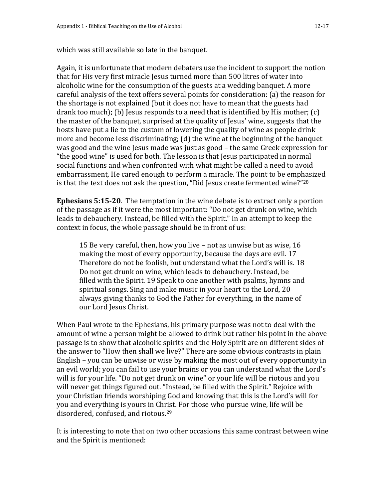which was still available so late in the banquet.

Again, it is unfortunate that modern debaters use the incident to support the notion that for His very first miracle Jesus turned more than 500 litres of water into alcoholic wine for the consumption of the guests at a wedding banquet. A more careful analysis of the text offers several points for consideration: (a) the reason for the shortage is not explained (but it does not have to mean that the guests had drank too much); (b) Jesus responds to a need that is identified by His mother; (c) the master of the banquet, surprised at the quality of Jesus' wine, suggests that the hosts have put a lie to the custom of lowering the quality of wine as people drink more and become less discriminating; (d) the wine at the beginning of the banquet was good and the wine Jesus made was just as good – the same Greek expression for "the good wine" is used for both. The lesson is that Jesus participated in normal social functions and when confronted with what might be called a need to avoid embarrassment, He cared enough to perform a miracle. The point to be emphasized is that the text does not ask the question, "Did Jesus create fermented wine?" $^{28}$ 

**Ephesians 5:15-20**. The temptation in the wine debate is to extract only a portion of the passage as if it were the most important: "Do not get drunk on wine, which leads to debauchery. Instead, be filled with the Spirit." In an attempt to keep the context in focus, the whole passage should be in front of us:

15 Be very careful, then, how you live – not as unwise but as wise, 16 making the most of every opportunity, because the days are evil. 17 Therefore do not be foolish, but understand what the Lord's will is. 18 Do not get drunk on wine, which leads to debauchery. Instead, be filled with the Spirit. 19 Speak to one another with psalms, hymns and spiritual songs. Sing and make music in your heart to the Lord, 20 always giving thanks to God the Father for everything, in the name of our Lord Jesus Christ.

When Paul wrote to the Ephesians, his primary purpose was not to deal with the amount of wine a person might be allowed to drink but rather his point in the above passage is to show that alcoholic spirits and the Holy Spirit are on different sides of the answer to "How then shall we live?" There are some obvious contrasts in plain English – you can be unwise or wise by making the most out of every opportunity in an evil world; you can fail to use your brains or you can understand what the Lord's will is for your life. "Do not get drunk on wine" or your life will be riotous and you will never get things figured out. "Instead, be filled with the Spirit." Rejoice with your Christian friends worshiping God and knowing that this is the Lord's will for you and everything is yours in Christ. For those who pursue wine, life will be disordered, confused, and riotous.<sup>29</sup>

It is interesting to note that on two other occasions this same contrast between wine and the Spirit is mentioned: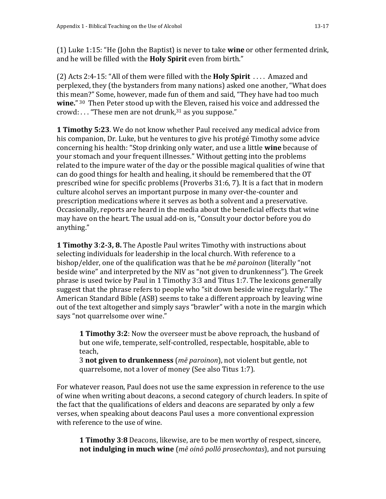(1) Luke 1:15: "He (John the Baptist) is never to take **wine** or other fermented drink, and he will be filled with the **Holy Spirit** even from birth."

(2) Acts 2:4-15: "All of them were filled with the **Holy Spirit** . . . . Amazed and perplexed, they (the bystanders from many nations) asked one another, "What does this mean?" Some, however, made fun of them and said, "They have had too much **wine.**" <sup>30</sup> Then Peter stood up with the Eleven, raised his voice and addressed the crowd:  $\ldots$  "These men are not drunk,  $31$  as you suppose."

**1 Timothy 5:23**. We do not know whether Paul received any medical advice from his companion, Dr. Luke, but he ventures to give his protégé Timothy some advice concerning his health: "Stop drinking only water, and use a little **wine** because of your stomach and your frequent illnesses." Without getting into the problems related to the impure water of the day or the possible magical qualities of wine that can do good things for health and healing, it should be remembered that the OT prescribed wine for specific problems (Proverbs 31:6, 7). It is a fact that in modern culture alcohol serves an important purpose in many over-the-counter and prescription medications where it serves as both a solvent and a preservative. Occasionally, reports are heard in the media about the beneficial effects that wine may have on the heart. The usual add-on is, "Consult your doctor before you do anything."

**1 Timothy 3**:**2-3, 8.** The Apostle Paul writes Timothy with instructions about selecting individuals for leadership in the local church. With reference to a bishop/elder, one of the qualification was that he be *mē paroinon* (literally "not beside wine" and interpreted by the NIV as "not given to drunkenness"). The Greek phrase is used twice by Paul in 1 Timothy 3:3 and Titus 1:7. The lexicons generally suggest that the phrase refers to people who "sit down beside wine regularly." The American Standard Bible (ASB) seems to take a different approach by leaving wine out of the text altogether and simply says "brawler" with a note in the margin which says "not quarrelsome over wine."

**1 Timothy 3:2**: Now the overseer must be above reproach, the husband of but one wife, temperate, self-controlled, respectable, hospitable, able to teach,

3 **not given to drunkenness** (*mē paroinon*), not violent but gentle, not quarrelsome, not a lover of money (See also Titus 1:7).

For whatever reason, Paul does not use the same expression in reference to the use of wine when writing about deacons, a second category of church leaders. In spite of the fact that the qualifications of elders and deacons are separated by only a few verses, when speaking about deacons Paul uses a more conventional expression with reference to the use of wine.

**1 Timothy 3**:**8** Deacons, likewise, are to be men worthy of respect, sincere, **not indulging in much wine** (*mē oinō pollō prosechontas*), and not pursuing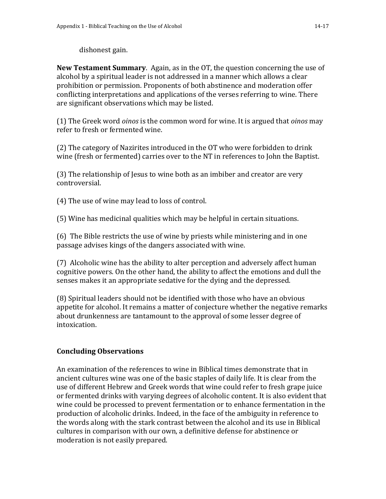dishonest gain.

**New Testament Summary**. Again, as in the OT, the question concerning the use of alcohol by a spiritual leader is not addressed in a manner which allows a clear prohibition or permission. Proponents of both abstinence and moderation offer conflicting interpretations and applications of the verses referring to wine. There are significant observations which may be listed.

(1) The Greek word *oinos* is the common word for wine. It is argued that *oinos* may refer to fresh or fermented wine.

(2) The category of Nazirites introduced in the OT who were forbidden to drink wine (fresh or fermented) carries over to the NT in references to John the Baptist.

(3) The relationship of Jesus to wine both as an imbiber and creator are very controversial.

(4) The use of wine may lead to loss of control.

(5) Wine has medicinal qualities which may be helpful in certain situations.

(6) The Bible restricts the use of wine by priests while ministering and in one passage advises kings of the dangers associated with wine.

(7) Alcoholic wine has the ability to alter perception and adversely affect human cognitive powers. On the other hand, the ability to affect the emotions and dull the senses makes it an appropriate sedative for the dying and the depressed.

(8) Spiritual leaders should not be identified with those who have an obvious appetite for alcohol. It remains a matter of conjecture whether the negative remarks about drunkenness are tantamount to the approval of some lesser degree of intoxication.

# **Concluding Observations**

An examination of the references to wine in Biblical times demonstrate that in ancient cultures wine was one of the basic staples of daily life. It is clear from the use of different Hebrew and Greek words that wine could refer to fresh grape juice or fermented drinks with varying degrees of alcoholic content. It is also evident that wine could be processed to prevent fermentation or to enhance fermentation in the production of alcoholic drinks. Indeed, in the face of the ambiguity in reference to the words along with the stark contrast between the alcohol and its use in Biblical cultures in comparison with our own, a definitive defense for abstinence or moderation is not easily prepared.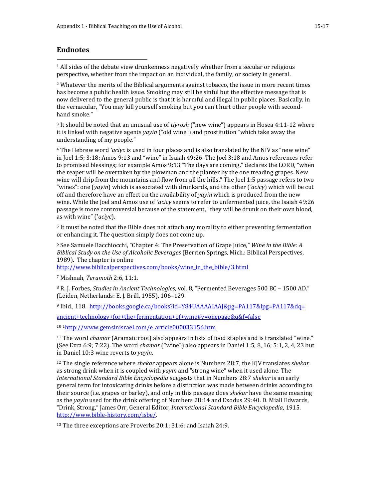#### **Endnotes**

 $1$  All sides of the debate view drunkenness negatively whether from a secular or religious perspective, whether from the impact on an individual, the family, or society in general.

<sup>2</sup> Whatever the merits of the Biblical arguments against tobacco, the issue in more recent times has become a public health issue. Smoking may still be sinful but the effective message that is now delivered to the general public is that it is harmful and illegal in public places. Basically, in the vernacular, "You may kill yourself smoking but you can't hurt other people with secondhand smoke."

<sup>3</sup> It should be noted that an unusual use of *tiyrosh* ("new wine") appears in Hosea 4:11-12 where it is linked with negative agents *yayin* ("old wine") and prostitution "which take away the understanding of my people."

<sup>4</sup> The Hebrew word *'aciyc* is used in four places and is also translated by the NIV as "new wine" in Joel 1:5; 3:18; Amos 9:13 and "wine" in Isaiah 49:26. The Joel 3:18 and Amos references refer to promised blessings; for example Amos 9:13 "The days are coming," declares the LORD, "when the reaper will be overtaken by the plowman and the planter by the one treading grapes. New wine will drip from the mountains and flow from all the hills." The Joel 1:5 passage refers to two "wines": one (*yayin*) which is associated with drunkards, and the other (*'acicy*) which will be cut off and therefore have an effect on the availability of *yayin* which is produced from the new wine. While the Joel and Amos use of *'acicy* seems to refer to unfermented juice, the Isaiah 49:26 passage is more controversial because of the statement, "they will be drunk on their own blood, as with wine" ('*aciyc*).

<sup>5</sup> It must be noted that the Bible does not attach any morality to either preventing fermentation or enhancing it. The question simply does not come up.

<sup>6</sup> See Samuele Bacchiocchi, *"*Chapter 4: The Preservation of Grape Juice*," Wine in the Bible: A Biblical Study on the Use of Alcoholic Beverages* (Berrien Springs, Mich.: Biblical Perspectives, 1989). The chapter is online

http://www.biblicalperspectives.com/books/wine\_in\_the\_bible/3.html

<sup>7</sup> Mishnah, *Terumoth* 2:6, 11:1.

<sup>8</sup> R. J. Forbes, *Studies in Ancient Technologies*, vol. 8, "Fermented Beverages 500 BC – 1500 AD." (Leiden, Netherlands: E. J. Brill, 1955), 106–129.

<sup>9</sup> Ibid., 118. [http://books.google.ca/books?id=Y84UAAAAIAAJ&pg=P](http://books.google.ca/books?id=Y84UAAAAIAAJ&pg=)A117&lpg=PA117&dq=

ancient+technology+for+the+fermentation+of+wine#v=onepage&q&f=false

<sup>10</sup> <sup>1</sup>[http://www.gemsinisrael.com/e\\_article000033156.htm](http://www.gemsinisrael.com/e_article000033156.htm)

<sup>11</sup> The word *chamar* (Aramaic root) also appears in lists of food staples and is translated "wine." (See Ezra 6:9; 7:22). The word *chamar* ("wine") also appears in Daniel 1:5, 8, 16; 5:1, 2, 4, 23 but in Daniel 10:3 wine reverts to *yayin*.

<sup>12</sup> The single reference where *shekar* appears alone is Numbers 28:7, the KJV translates *shekar* as strong drink when it is coupled with *yayin* and "strong wine" when it used alone. The *International Standard Bible Encyclopedia* suggests that in Numbers 28:7 *shekar* is an early general term for intoxicating drinks before a distinction was made between drinks according to their source (i.e. grapes or barley), and only in this passage does *shekar* have the same meaning as the *yayin* used for the drink offering of Numbers 28:14 and Exodus 29:40. D. Miall Edwards, "Drink, Strong," James Orr, General Editor, *International Standard Bible Encyclopedia*, 1915. [http://www.bible-history.com/isbe/.](http://www.bible-history.com/isbe/)

<sup>13</sup> The three exceptions are Proverbs 20:1; 31:6; and Isaiah 24:9.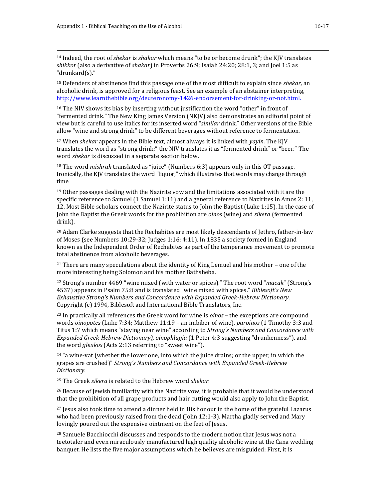l

<sup>14</sup> Indeed, the root of *shekar* is *shakar* which means "to be or become drunk"; the KJV translates *shikkor* (also a derivative of *shakar*) in Proverbs 26:9; Isaiah 24:20; 28:1, 3; and Joel 1:5 as "drunkard(s)."

<sup>15</sup> Defenders of abstinence find this passage one of the most difficult to explain since *shekar,* an alcoholic drink*,* is approved for a religious feast. See an example of an abstainer interpreting, http://www.learnthebible.org/deuteronomy-1426-endorsement-for-drinking-or-not.html.

<sup>16</sup> The NIV shows its bias by inserting without justification the word "other" in front of "fermented drink." The New King James Version (NKJV) also demonstrates an editorial point of view but is careful to use italics for its inserted word "*similar* drink." Other versions of the Bible allow "wine and strong drink" to be different beverages without reference to fermentation.

<sup>17</sup> When *shekar* appears in the Bible text, almost always it is linked with *yayin*. The KJV translates the word as "strong drink;" the NIV translates it as "fermented drink" or "beer." The word *shekar* is discussed in a separate section below.

<sup>18</sup> The word *mishrah* translated as "juice" (Numbers 6:3) appears only in this OT passage. Ironically, the KJV translates the word "liquor," which illustrates that words may change through time.

 $19$  Other passages dealing with the Nazirite vow and the limitations associated with it are the specific reference to Samuel (1 Samuel 1:11) and a general reference to Nazirites in Amos 2: 11, 12. Most Bible scholars connect the Nazirite status to John the Baptist (Luke 1:15). In the case of John the Baptist the Greek words for the prohibition are *oinos* (wine) and *sikera* (fermented drink).

 $20$  Adam Clarke suggests that the Rechabites are most likely descendants of Jethro, father-in-law of Moses (see Numbers 10:29-32; Judges 1:16; 4:11). In 1835 a society formed in England known as the Independent Order of Rechabites as part of the temperance movement to promote total abstinence from alcoholic beverages.

 $21$  There are many speculations about the identity of King Lemuel and his mother – one of the more interesting being Solomon and his mother Bathsheba.

<sup>22</sup> Strong's number 4469 "wine mixed (with water or spices)." The root word "*macak*" (Strong's 4537) appears in Psalm 75:8 and is translated "wine mixed with spices." *Biblesoft's New Exhaustive Strong's Numbers and Concordance with Expanded Greek-Hebrew Dictionary*. Copyright (c) 1994, Biblesoft and International Bible Translators, Inc.

<sup>23</sup> In practically all references the Greek word for wine is *oinos* – the exceptions are compound words *oinopotes* (Luke 7:34; Matthew 11:19 – an imbiber of wine), *paroinos* (1 Timothy 3:3 and Titus 1:7 which means "staying near wine" according to *Strong's Numbers and Concordance with Expanded Greek-Hebrew Dictionary), oinophlugia* (1 Peter 4:3 suggesting "drunkenness"), and the word *gleukos* (Acts 2:13 referring to "sweet wine").

 $24$  "a wine-vat (whether the lower one, into which the juice drains; or the upper, in which the grapes are crushed)" *Strong's Numbers and Concordance with Expanded Greek-Hebrew Dictionary*.

<sup>25</sup> The Greek *sikera* is related to the Hebrew word *shekar*.

<sup>26</sup> Because of Jewish familiarity with the Nazirite vow, it is probable that it would be understood that the prohibition of all grape products and hair cutting would also apply to John the Baptist.

<sup>27</sup> Jesus also took time to attend a dinner held in His honour in the home of the grateful Lazarus who had been previously raised from the dead (John 12:1-3). Martha gladly served and Mary lovingly poured out the expensive ointment on the feet of Jesus.

<sup>28</sup> Samuele Bacchiocchi discusses and responds to the modern notion that Jesus was not a teetotaler and even miraculously manufactured high quality alcoholic wine at the Cana wedding banquet. He lists the five major assumptions which he believes are misguided: First, it is